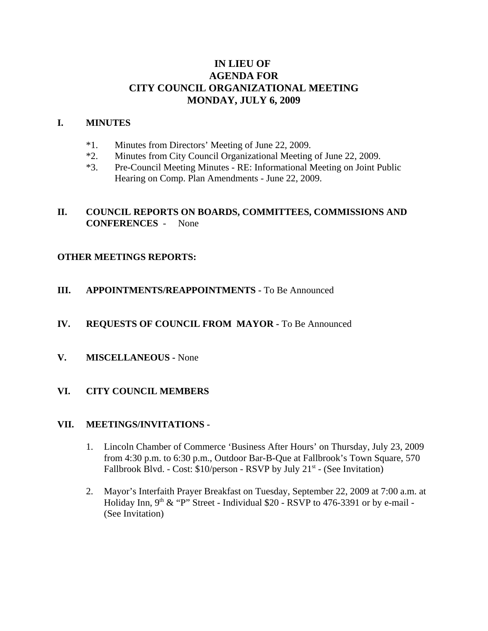# **IN LIEU OF AGENDA FOR CITY COUNCIL ORGANIZATIONAL MEETING MONDAY, JULY 6, 2009**

### **I. MINUTES**

- \*1. Minutes from Directors' Meeting of June 22, 2009.
- \*2. Minutes from City Council Organizational Meeting of June 22, 2009.
- \*3. Pre-Council Meeting Minutes RE: Informational Meeting on Joint Public Hearing on Comp. Plan Amendments - June 22, 2009.

# **II. COUNCIL REPORTS ON BOARDS, COMMITTEES, COMMISSIONS AND CONFERENCES** - None

### **OTHER MEETINGS REPORTS:**

**III. APPOINTMENTS/REAPPOINTMENTS -** To Be Announced

#### **IV. REQUESTS OF COUNCIL FROM MAYOR -** To Be Announced

**V. MISCELLANEOUS -** None

### **VI. CITY COUNCIL MEMBERS**

#### **VII. MEETINGS/INVITATIONS -**

- 1. Lincoln Chamber of Commerce 'Business After Hours' on Thursday, July 23, 2009 from 4:30 p.m. to 6:30 p.m., Outdoor Bar-B-Que at Fallbrook's Town Square, 570 Fallbrook Blvd. - Cost:  $$10/person$  - RSVP by July 21<sup>st</sup> - (See Invitation)
- 2. Mayor's Interfaith Prayer Breakfast on Tuesday, September 22, 2009 at 7:00 a.m. at Holiday Inn,  $9<sup>th</sup>$  & "P" Street - Individual \$20 - RSVP to 476-3391 or by e-mail -(See Invitation)